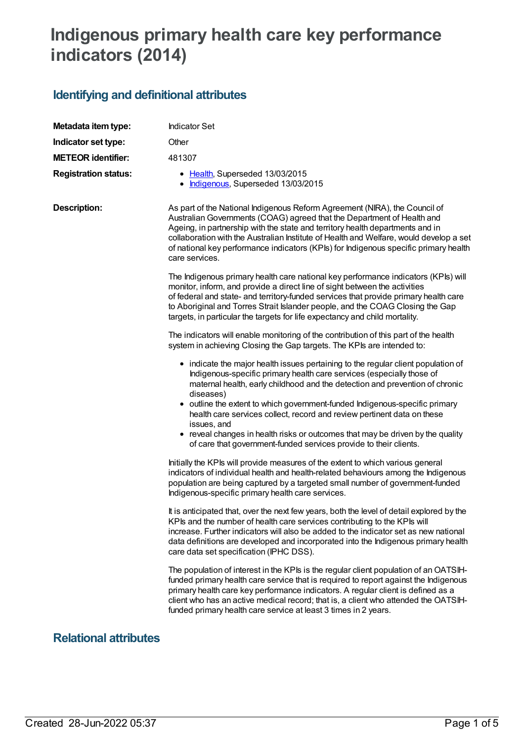# **Indigenous primary health care key performance indicators (2014)**

## **Identifying and definitional attributes**

| Metadata item type:         | <b>Indicator Set</b>                                                                                                                                                                                                                                                                                                                                                                                                                                                                                               |
|-----------------------------|--------------------------------------------------------------------------------------------------------------------------------------------------------------------------------------------------------------------------------------------------------------------------------------------------------------------------------------------------------------------------------------------------------------------------------------------------------------------------------------------------------------------|
| Indicator set type:         | Other                                                                                                                                                                                                                                                                                                                                                                                                                                                                                                              |
| <b>METEOR identifier:</b>   | 481307                                                                                                                                                                                                                                                                                                                                                                                                                                                                                                             |
| <b>Registration status:</b> | • Health, Superseded 13/03/2015<br>Indigenous, Superseded 13/03/2015                                                                                                                                                                                                                                                                                                                                                                                                                                               |
| <b>Description:</b>         | As part of the National Indigenous Reform Agreement (NIRA), the Council of<br>Australian Governments (COAG) agreed that the Department of Health and<br>Ageing, in partnership with the state and territory health departments and in<br>collaboration with the Australian Institute of Health and Welfare, would develop a set<br>of national key performance indicators (KPIs) for Indigenous specific primary health<br>care services.                                                                          |
|                             | The Indigenous primary health care national key performance indicators (KPIs) will<br>monitor, inform, and provide a direct line of sight between the activities<br>of federal and state- and territory-funded services that provide primary health care<br>to Aboriginal and Torres Strait Islander people, and the COAG Closing the Gap<br>targets, in particular the targets for life expectancy and child mortality.                                                                                           |
|                             | The indicators will enable monitoring of the contribution of this part of the health<br>system in achieving Closing the Gap targets. The KPIs are intended to:                                                                                                                                                                                                                                                                                                                                                     |
|                             | • indicate the major health issues pertaining to the regular client population of<br>Indigenous-specific primary health care services (especially those of<br>maternal health, early childhood and the detection and prevention of chronic<br>diseases)<br>• outline the extent to which government-funded Indigenous-specific primary<br>health care services collect, record and review pertinent data on these<br>issues, and<br>• reveal changes in health risks or outcomes that may be driven by the quality |
|                             | of care that government-funded services provide to their clients.                                                                                                                                                                                                                                                                                                                                                                                                                                                  |
|                             | Initially the KPIs will provide measures of the extent to which various general<br>indicators of individual health and health-related behaviours among the Indigenous<br>population are being captured by a targeted small number of government-funded<br>Indigenous-specific primary health care services.                                                                                                                                                                                                        |
|                             | It is anticipated that, over the next few years, both the level of detail explored by the<br>KPIs and the number of health care services contributing to the KPIs will<br>increase. Further indicators will also be added to the indicator set as new national<br>data definitions are developed and incorporated into the Indigenous primary health<br>care data set specification (IPHC DSS).                                                                                                                    |
|                             | The population of interest in the KPIs is the regular client population of an OATSIH-<br>funded primary health care service that is required to report against the Indigenous<br>primary health care key performance indicators. A regular client is defined as a<br>client who has an active medical record; that is, a client who attended the OATSIH-<br>funded primary health care service at least 3 times in 2 years.                                                                                        |

### **Relational attributes**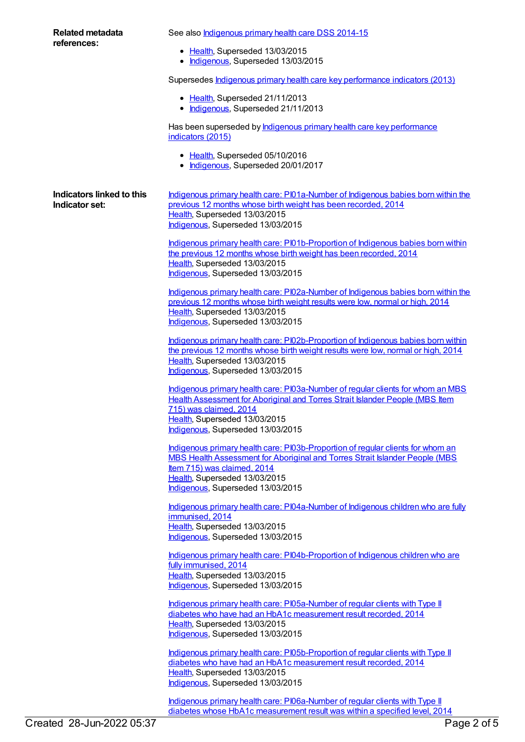| <b>Related metadata</b><br>references:      | See also <b>Indigenous primary health care DSS 2014-15</b>                                                                                                             |
|---------------------------------------------|------------------------------------------------------------------------------------------------------------------------------------------------------------------------|
|                                             | • Health, Superseded 13/03/2015                                                                                                                                        |
|                                             | • Indigenous, Superseded 13/03/2015                                                                                                                                    |
|                                             | Supersedes <b>Indigenous primary health care key performance indicators (2013)</b>                                                                                     |
|                                             | • Health, Superseded 21/11/2013                                                                                                                                        |
|                                             | • Indigenous, Superseded 21/11/2013                                                                                                                                    |
|                                             | Has been superseded by <b>Indigenous primary health care key performance</b><br>indicators (2015)                                                                      |
|                                             | • Health, Superseded 05/10/2016<br>• Indigenous, Superseded 20/01/2017                                                                                                 |
| Indicators linked to this<br>Indicator set: | Indigenous primary health care: PI01a-Number of Indigenous babies born within the                                                                                      |
|                                             | previous 12 months whose birth weight has been recorded, 2014                                                                                                          |
|                                             | Health, Superseded 13/03/2015<br>Indigenous, Superseded 13/03/2015                                                                                                     |
|                                             | Indigenous primary health care: PI01b-Proportion of Indigenous babies born within                                                                                      |
|                                             | the previous 12 months whose birth weight has been recorded, 2014<br>Health, Superseded 13/03/2015                                                                     |
|                                             | Indigenous, Superseded 13/03/2015                                                                                                                                      |
|                                             | Indigenous primary health care: PI02a-Number of Indigenous babies born within the                                                                                      |
|                                             | previous 12 months whose birth weight results were low, normal or high, 2014<br>Health, Superseded 13/03/2015                                                          |
|                                             | Indigenous, Superseded 13/03/2015                                                                                                                                      |
|                                             | Indigenous primary health care: PI02b-Proportion of Indigenous babies born within                                                                                      |
|                                             | the previous 12 months whose birth weight results were low, normal or high, 2014<br>Health, Superseded 13/03/2015                                                      |
|                                             | Indigenous, Superseded 13/03/2015                                                                                                                                      |
|                                             | Indigenous primary health care: PI03a-Number of regular clients for whom an MBS<br><b>Health Assessment for Aboriginal and Torres Strait Islander People (MBS Item</b> |
|                                             | 715) was claimed, 2014<br>Health, Superseded 13/03/2015                                                                                                                |
|                                             | Indigenous, Superseded 13/03/2015                                                                                                                                      |
|                                             | Indigenous primary health care: PI03b-Proportion of regular clients for whom an<br>MBS Health Assessment for Aboriginal and Torres Strait Islander People (MBS         |
|                                             | Item 715) was claimed, 2014<br>Health, Superseded 13/03/2015                                                                                                           |
|                                             | Indigenous, Superseded 13/03/2015                                                                                                                                      |
|                                             | Indigenous primary health care: PI04a-Number of Indigenous children who are fully                                                                                      |
|                                             | immunised, 2014<br>Health, Superseded 13/03/2015                                                                                                                       |
|                                             | Indigenous, Superseded 13/03/2015                                                                                                                                      |
|                                             | Indigenous primary health care: PI04b-Proportion of Indigenous children who are                                                                                        |
|                                             | fully immunised, 2014<br>Health, Superseded 13/03/2015                                                                                                                 |
|                                             | Indigenous, Superseded 13/03/2015                                                                                                                                      |
|                                             | Indigenous primary health care: PI05a-Number of regular clients with Type II<br>diabetes who have had an HbA1c measurement result recorded, 2014                       |
|                                             | Health, Superseded 13/03/2015                                                                                                                                          |
|                                             | Indigenous, Superseded 13/03/2015                                                                                                                                      |
|                                             | Indigenous primary health care: PI05b-Proportion of regular clients with Type II<br>diabetes who have had an HbA1c measurement result recorded, 2014                   |
|                                             | Health, Superseded 13/03/2015                                                                                                                                          |
|                                             | Indigenous, Superseded 13/03/2015                                                                                                                                      |
|                                             | Indigenous primary health care: PI06a-Number of regular clients with Type II                                                                                           |

diabetes whose HbA1c measurement result was within a specified level, 2014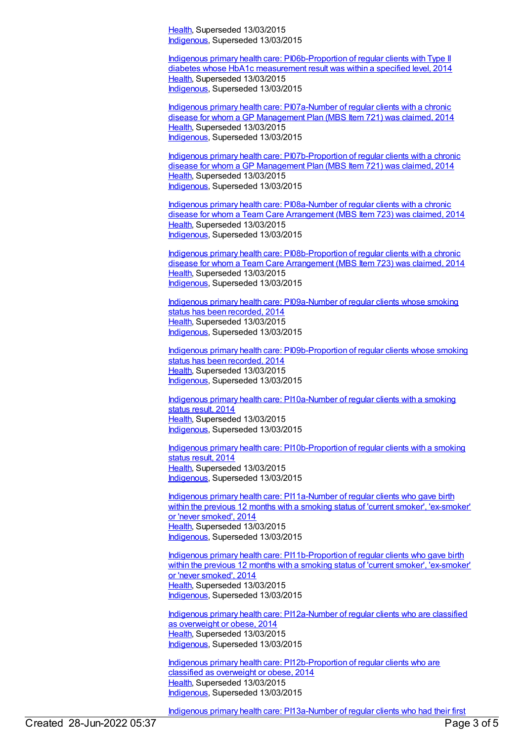[Health](https://meteor.aihw.gov.au/RegistrationAuthority/12), Superseded 13/03/2015 [Indigenous](https://meteor.aihw.gov.au/RegistrationAuthority/6), Superseded 13/03/2015

Indigenous primary health care: [PI06b-Proportion](https://meteor.aihw.gov.au/content/504706) of regular clients with Type II diabetes whose HbA1c measurement result was within a specified level, 2014 [Health](https://meteor.aihw.gov.au/RegistrationAuthority/12), Superseded 13/03/2015 [Indigenous](https://meteor.aihw.gov.au/RegistrationAuthority/6), Superseded 13/03/2015

Indigenous primary health care: [PI07a-Number](https://meteor.aihw.gov.au/content/504675) of regular clients with a chronic disease for whom a GP Management Plan (MBS Item 721) was claimed, 2014 [Health](https://meteor.aihw.gov.au/RegistrationAuthority/12), Superseded 13/03/2015 [Indigenous](https://meteor.aihw.gov.au/RegistrationAuthority/6), Superseded 13/03/2015

Indigenous primary health care: [PI07b-Proportion](https://meteor.aihw.gov.au/content/504677) of regular clients with a chronic disease for whom a GP Management Plan (MBS Item 721) was claimed, 2014 [Health](https://meteor.aihw.gov.au/RegistrationAuthority/12), Superseded 13/03/2015 [Indigenous](https://meteor.aihw.gov.au/RegistrationAuthority/6), Superseded 13/03/2015

Indigenous primary health care: [PI08a-Number](https://meteor.aihw.gov.au/content/504679) of regular clients with a chronic disease for whom a Team Care Arrangement (MBS Item 723) was claimed, 2014 [Health](https://meteor.aihw.gov.au/RegistrationAuthority/12), Superseded 13/03/2015 [Indigenous](https://meteor.aihw.gov.au/RegistrationAuthority/6), Superseded 13/03/2015

Indigenous primary health care: [PI08b-Proportion](https://meteor.aihw.gov.au/content/504681) of regular clients with a chronic disease for whom a Team Care Arrangement (MBS Item 723) was claimed, 2014 [Health](https://meteor.aihw.gov.au/RegistrationAuthority/12), Superseded 13/03/2015 [Indigenous](https://meteor.aihw.gov.au/RegistrationAuthority/6), Superseded 13/03/2015

Indigenous primary health care: [PI09a-Number](https://meteor.aihw.gov.au/content/504710) of regular clients whose smoking status has been recorded, 2014 [Health](https://meteor.aihw.gov.au/RegistrationAuthority/12), Superseded 13/03/2015 [Indigenous](https://meteor.aihw.gov.au/RegistrationAuthority/6), Superseded 13/03/2015

Indigenous primary health care: [PI09b-Proportion](https://meteor.aihw.gov.au/content/504712) of regular clients whose smoking status has been recorded, 2014 [Health](https://meteor.aihw.gov.au/RegistrationAuthority/12), Superseded 13/03/2015 [Indigenous](https://meteor.aihw.gov.au/RegistrationAuthority/6), Superseded 13/03/2015

Indigenous primary health care: [PI10a-Number](https://meteor.aihw.gov.au/content/504714) of regular clients with a smoking status result, 2014 [Health](https://meteor.aihw.gov.au/RegistrationAuthority/12), Superseded 13/03/2015 [Indigenous](https://meteor.aihw.gov.au/RegistrationAuthority/6), Superseded 13/03/2015

Indigenous primary health care: [PI10b-Proportion](https://meteor.aihw.gov.au/content/504716) of regular clients with a smoking status result, 2014 [Health](https://meteor.aihw.gov.au/RegistrationAuthority/12), Superseded 13/03/2015 [Indigenous](https://meteor.aihw.gov.au/RegistrationAuthority/6), Superseded 13/03/2015

Indigenous primary health care: [PI11a-Number](https://meteor.aihw.gov.au/content/481489) of regular clients who gave birth within the previous 12 months with a smoking status of 'current smoker', 'ex-smoker' or 'never smoked', 2014 [Health](https://meteor.aihw.gov.au/RegistrationAuthority/12), Superseded 13/03/2015 [Indigenous](https://meteor.aihw.gov.au/RegistrationAuthority/6), Superseded 13/03/2015

Indigenous primary health care: [PI11b-Proportion](https://meteor.aihw.gov.au/content/481494) of regular clients who gave birth within the previous 12 months with a smoking status of 'current smoker', 'ex-smoker' or 'never smoked', 2014 [Health](https://meteor.aihw.gov.au/RegistrationAuthority/12), Superseded 13/03/2015 [Indigenous](https://meteor.aihw.gov.au/RegistrationAuthority/6), Superseded 13/03/2015

Indigenous primary health care: [PI12a-Number](https://meteor.aihw.gov.au/content/504718) of regular clients who are classified as overweight or obese, 2014 [Health](https://meteor.aihw.gov.au/RegistrationAuthority/12), Superseded 13/03/2015 [Indigenous](https://meteor.aihw.gov.au/RegistrationAuthority/6), Superseded 13/03/2015

Indigenous primary health care: [PI12b-Proportion](https://meteor.aihw.gov.au/content/504729) of regular clients who are classified as overweight or obese, 2014 [Health](https://meteor.aihw.gov.au/RegistrationAuthority/12), Superseded 13/03/2015 [Indigenous](https://meteor.aihw.gov.au/RegistrationAuthority/6), Superseded 13/03/2015

Indigenous primary health care: [PI13a-Number](https://meteor.aihw.gov.au/content/504731) of regular clients who had their first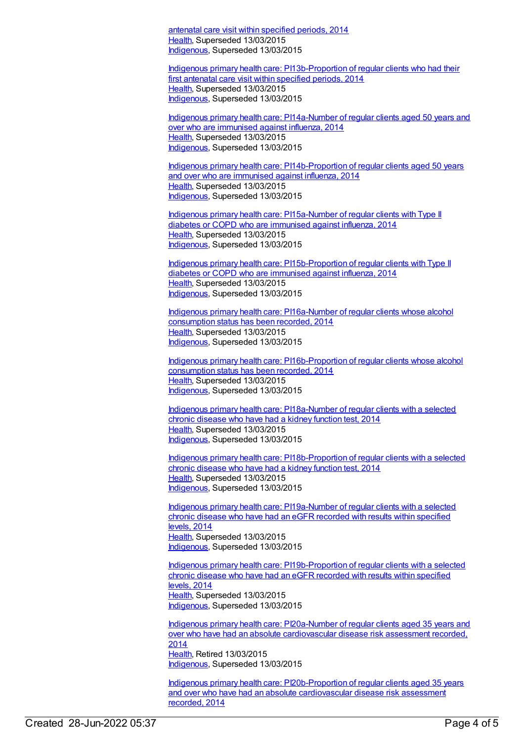antenatal care visit within specified periods, 2014 [Health](https://meteor.aihw.gov.au/RegistrationAuthority/12), Superseded 13/03/2015 [Indigenous](https://meteor.aihw.gov.au/RegistrationAuthority/6), Superseded 13/03/2015

Indigenous primary health care: [PI13b-Proportion](https://meteor.aihw.gov.au/content/504733) of regular clients who had their first antenatal care visit within specified periods, 2014 [Health](https://meteor.aihw.gov.au/RegistrationAuthority/12), Superseded 13/03/2015 [Indigenous](https://meteor.aihw.gov.au/RegistrationAuthority/6), Superseded 13/03/2015

Indigenous primary health care: [PI14a-Number](https://meteor.aihw.gov.au/content/504735) of regular clients aged 50 years and over who are immunised against influenza, 2014 [Health](https://meteor.aihw.gov.au/RegistrationAuthority/12), Superseded 13/03/2015 [Indigenous](https://meteor.aihw.gov.au/RegistrationAuthority/6), Superseded 13/03/2015

Indigenous primary health care: [PI14b-Proportion](https://meteor.aihw.gov.au/content/504737) of regular clients aged 50 years and over who are immunised against influenza, 2014 [Health](https://meteor.aihw.gov.au/RegistrationAuthority/12), Superseded 13/03/2015 [Indigenous](https://meteor.aihw.gov.au/RegistrationAuthority/6), Superseded 13/03/2015

Indigenous primary health care: [PI15a-Number](https://meteor.aihw.gov.au/content/504739) of regular clients with Type II diabetes or COPD who are immunised against influenza, 2014 [Health](https://meteor.aihw.gov.au/RegistrationAuthority/12), Superseded 13/03/2015 [Indigenous](https://meteor.aihw.gov.au/RegistrationAuthority/6), Superseded 13/03/2015

Indigenous primary health care: [PI15b-Proportion](https://meteor.aihw.gov.au/content/504741) of regular clients with Type II diabetes or COPD who are immunised against influenza, 2014 [Health](https://meteor.aihw.gov.au/RegistrationAuthority/12), Superseded 13/03/2015 [Indigenous](https://meteor.aihw.gov.au/RegistrationAuthority/6), Superseded 13/03/2015

Indigenous primary health care: [PI16a-Number](https://meteor.aihw.gov.au/content/504743) of regular clients whose alcohol consumption status has been recorded, 2014 [Health](https://meteor.aihw.gov.au/RegistrationAuthority/12), Superseded 13/03/2015 [Indigenous](https://meteor.aihw.gov.au/RegistrationAuthority/6), Superseded 13/03/2015

Indigenous primary health care: [PI16b-Proportion](https://meteor.aihw.gov.au/content/504745) of regular clients whose alcohol consumption status has been recorded, 2014 [Health](https://meteor.aihw.gov.au/RegistrationAuthority/12), Superseded 13/03/2015 [Indigenous](https://meteor.aihw.gov.au/RegistrationAuthority/6), Superseded 13/03/2015

Indigenous primary health care: [PI18a-Number](https://meteor.aihw.gov.au/content/504785) of regular clients with a selected chronic disease who have had a kidney function test, 2014 [Health](https://meteor.aihw.gov.au/RegistrationAuthority/12), Superseded 13/03/2015 [Indigenous](https://meteor.aihw.gov.au/RegistrationAuthority/6), Superseded 13/03/2015

Indigenous primary health care: [PI18b-Proportion](https://meteor.aihw.gov.au/content/504788) of regular clients with a selected chronic disease who have had a kidney function test, 2014 [Health](https://meteor.aihw.gov.au/RegistrationAuthority/12), Superseded 13/03/2015 [Indigenous](https://meteor.aihw.gov.au/RegistrationAuthority/6), Superseded 13/03/2015

Indigenous primary health care: [PI19a-Number](https://meteor.aihw.gov.au/content/481523) of regular clients with a selected chronic disease who have had an eGFR recorded with results within specified levels, 2014 [Health](https://meteor.aihw.gov.au/RegistrationAuthority/12), Superseded 13/03/2015 [Indigenous](https://meteor.aihw.gov.au/RegistrationAuthority/6), Superseded 13/03/2015

Indigenous primary health care: [PI19b-Proportion](https://meteor.aihw.gov.au/content/481525) of regular clients with a selected chronic disease who have had an eGFR recorded with results within specified levels, 2014 [Health](https://meteor.aihw.gov.au/RegistrationAuthority/12), Superseded 13/03/2015 [Indigenous](https://meteor.aihw.gov.au/RegistrationAuthority/6), Superseded 13/03/2015

Indigenous primary health care: PI20a-Number of regular clients aged 35 years and over who have had an absolute [cardiovascular](https://meteor.aihw.gov.au/content/481574) disease risk assessment recorded,  $2014$ [Health](https://meteor.aihw.gov.au/RegistrationAuthority/12), Retired 13/03/2015 [Indigenous](https://meteor.aihw.gov.au/RegistrationAuthority/6), Superseded 13/03/2015

Indigenous primary health care: [PI20b-Proportion](https://meteor.aihw.gov.au/content/481576) of regular clients aged 35 years and over who have had an absolute cardiovascular disease risk assessment recorded, 2014